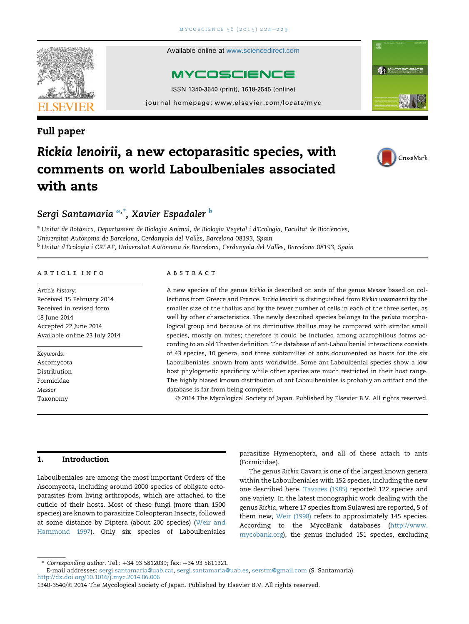

Available online at [www.sciencedirect.com](www.sciencedirect.com/science/journal/13403540)



ISSN 1340-3540 (print), 1618-2545 (online)

journal homepage:<www.elsevier.com/locate/myc>

### Full paper



# Rickia lenoirii, a new ectoparasitic species, with comments on world Laboulbeniales associated with ants

## Sergi Santamaria <sup>a,</sup>\*, Xavier Espadaler <sup>b</sup>

<sup>a</sup> Unitat de Botànica, Departament de Biologia Animal, de Biologia Vegetal i d'Ecologia, Facultat de Biociències, Universitat Autonoma de Barcelona, Cerdanyola del Valles, Barcelona 08193, Spain <sup>b</sup> Unitat d'Ecologia i CREAF, Universitat Autònoma de Barcelona, Cerdanyola del Vallès, Barcelona 08193, Spain

#### article info

Article history: Received 15 February 2014 Received in revised form 18 June 2014 Accepted 22 June 2014 Available online 23 July 2014

Keywords: Ascomycota Distribution Formicidae Messor Taxonomy

#### abstract

A new species of the genus Rickia is described on ants of the genus Messor based on collections from Greece and France. Rickia lenoirii is distinguished from Rickia wasmannii by the smaller size of the thallus and by the fewer number of cells in each of the three series, as well by other characteristics. The newly described species belongs to the perlata morphological group and because of its diminutive thallus may be compared with similar small species, mostly on mites; therefore it could be included among acarophilous forms according to an old Thaxter definition. The database of ant-Laboulbenial interactions consists of 43 species, 10 genera, and three subfamilies of ants documented as hosts for the six Laboulbeniales known from ants worldwide. Some ant Laboulbenial species show a low host phylogenetic specificity while other species are much restricted in their host range. The highly biased known distribution of ant Laboulbeniales is probably an artifact and the database is far from being complete.

© 2014 The Mycological Society of Japan. Published by Elsevier B.V. All rights reserved.

#### 1. Introduction

Laboulbeniales are among the most important Orders of the Ascomycota, including around 2000 species of obligate ectoparasites from living arthropods, which are attached to the cuticle of their hosts. Most of these fungi (more than 1500 species) are known to parasitize Coleopteran Insects, followed at some distance by Diptera (about 200 species) ([Weir and](#page-5-0) [Hammond 1997](#page-5-0)). Only six species of Laboulbeniales

parasitize Hymenoptera, and all of these attach to ants (Formicidae).

The genus Rickia Cavara is one of the largest known genera within the Laboulbeniales with 152 species, including the new one described here. [Tavares \(1985\)](#page-5-0) reported 122 species and one variety. In the latest monographic work dealing with the genus Rickia, where 17 species from Sulawesi are reported, 5 of them new, [Weir \(1998\)](#page-5-0) refers to approximately 145 species. According to the MycoBank databases ([http://www.](http://www.mycobank.org) [mycobank.org\)](http://www.mycobank.org), the genus included 151 species, excluding

<sup>\*</sup> Corresponding author. Tel.:  $+34$  93 5812039; fax:  $+34$  93 5811321.

E-mail addresses: [sergi.santamaria@uab.cat](mailto:sergi.santamaria@uab.cat), [sergi.santamaria@uab.es,](mailto:sergi.santamaria@uab.es) [serstm@gmail.com](mailto:serstm@gmail.com) (S. Santamaria). <http://dx.doi.org/10.1016/j.myc.2014.06.006>

<sup>1340-3540/</sup>© 2014 The Mycological Society of Japan. Published by Elsevier B.V. All rights reserved.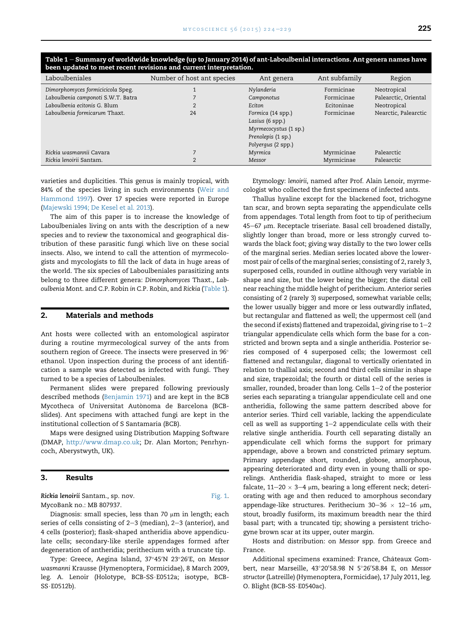|  | ×<br>٧ |
|--|--------|
|  |        |

| Laboulbeniales                     | Number of host ant species | Ant genera                                                                                                | Ant subfamily | Region               |
|------------------------------------|----------------------------|-----------------------------------------------------------------------------------------------------------|---------------|----------------------|
| Dimorphomyces formicicicola Speg.  |                            | Nylanderia                                                                                                | Formicinae    | Neotropical          |
| Laboulbenia camponoti S.W.T. Batra |                            | Camponotus                                                                                                | Formicinae    | Palearctic, Oriental |
| Laboulbenia ecitonis G. Blum       |                            | Eciton                                                                                                    | Ecitoninae    | Neotropical          |
| Laboulbenia formicarum Thaxt.      | 24                         | Formica (14 spp.)<br>Lasius (6 spp.)<br>Myrmecocystus (1 sp.)<br>Prenolepis (1 sp.)<br>Polyergus (2 spp.) | Formicinae    | Nearctic, Palearctic |
| Rickia wasmannii Cavara            |                            | Myrmica                                                                                                   | Myrmicinae    | Palearctic           |
| Rickia lenoirii Santam.            |                            | Messor                                                                                                    | Myrmicinae    | Palearctic           |

<span id="page-1-0"></span>Table 1 – Summary of worldwide knowledge (up to January 2014) of ant-Laboulbenial interactions. Ant genera names have been updated to meet recent revisions and current interpretation.

varieties and duplicities. This genus is mainly tropical, with 84% of the species living in such environments [\(Weir and](#page-5-0) [Hammond 1997](#page-5-0)). Over 17 species were reported in Europe [\(Majewski 1994; De Kesel et al. 2013\)](#page-5-0).

The aim of this paper is to increase the knowledge of Laboulbeniales living on ants with the description of a new species and to review the taxonomical and geographical distribution of these parasitic fungi which live on these social insects. Also, we intend to call the attention of myrmecologists and mycologists to fill the lack of data in huge areas of the world. The six species of Laboulbeniales parasitizing ants belong to three different genera: Dimorphomyces Thaxt., Laboulbenia Mont. and C.P. Robin in C.P. Robin, and Rickia (Table 1).

#### 2. Materials and methods

Ant hosts were collected with an entomological aspirator during a routine myrmecological survey of the ants from southern region of Greece. The insects were preserved in 96 $^{\circ}$ ethanol. Upon inspection during the process of ant identification a sample was detected as infected with fungi. They turned to be a species of Laboulbeniales.

Permanent slides were prepared following previously described methods [\(Benjamin 1971](#page-4-0)) and are kept in the BCB Mycotheca of Universitat Autonoma de Barcelona (BCB slides). Ant specimens with attached fungi are kept in the institutional collection of S Santamaria (BCB).

Maps were designed using Distribution Mapping Software (DMAP, <http://www.dmap.co.uk>; Dr. Alan Morton; Penrhyncoch, Aberystwyth, UK).

#### 3. Results

Rickia lenoirii Santam., sp. nov. [Fig. 1.](#page-2-0) MycoBank no.: MB 807937.

Diagnosis: small species, less than 70  $\mu$ m in length; each series of cells consisting of  $2-3$  (median),  $2-3$  (anterior), and 4 cells (posterior); flask-shaped antheridia above appendiculate cells; secondary-like sterile appendages formed after degeneration of antheridia; perithecium with a truncate tip.

Type: Greece, Aegina Island, 37°45′N 23°26′E, on Messor wasmanni Krausse (Hymenoptera, Formicidae), 8 March 2009, leg. A. Lenoir (Holotype, BCB-SS·E0512a; isotype, BCB- $SS \cdot E0512b$ ).

Etymology: lenoirii, named after Prof. Alain Lenoir, myrmecologist who collected the first specimens of infected ants.

Thallus hyaline except for the blackened foot, trichogyne tan scar, and brown septa separating the appendiculate cells from appendages. Total length from foot to tip of perithecium 45-67 µm. Receptacle triseriate. Basal cell broadened distally, slightly longer than broad, more or less strongly curved towards the black foot; giving way distally to the two lower cells of the marginal series. Median series located above the lowermost pair of cells of the marginal series; consisting of 2, rarely 3, superposed cells, rounded in outline although very variable in shape and size, but the lower being the bigger; the distal cell near reaching the middle height of perithecium. Anterior series consisting of 2 (rarely 3) superposed, somewhat variable cells; the lower usually bigger and more or less outwardly inflated, but rectangular and flattened as well; the uppermost cell (and the second if exists) flattened and trapezoidal, giving rise to  $1-2$ triangular appendiculate cells which form the base for a constricted and brown septa and a single antheridia. Posterior series composed of 4 superposed cells; the lowermost cell flattened and rectangular, diagonal to vertically orientated in relation to thallial axis; second and third cells similar in shape and size, trapezoidal; the fourth or distal cell of the series is smaller, rounded, broader than long. Cells  $1-2$  of the posterior series each separating a triangular appendiculate cell and one antheridia, following the same pattern described above for anterior series. Third cell variable, lacking the appendiculate  $cell$  as well as supporting  $1-2$  appendiculate cells with their relative single antheridia. Fourth cell separating distally an appendiculate cell which forms the support for primary appendage, above a brown and constricted primary septum. Primary appendage short, rounded, globose, amorphous, appearing deteriorated and dirty even in young thalli or sporelings. Antheridia flask-shaped, straight to more or less falcate,  $11-20 \times 3-4$  µm, bearing a long efferent neck; deteriorating with age and then reduced to amorphous secondary appendage-like structures. Perithecium 30-36  $\times$  12-16 µm, stout, broadly fusiform, its maximum breadth near the third basal part; with a truncated tip; showing a persistent trichogyne brown scar at its upper, outer margin.

Hosts and distribution: on Messor spp. from Greece and France.

Additional specimens examined: France, Chateaux Gom- ^ bert, near Marseille, 43°20′58.98 N 5°26′58.84 E, on Messor structor (Latreille) (Hymenoptera, Formicidae), 17 July 2011, leg. O. Blight (BCB-SS·E0540ac).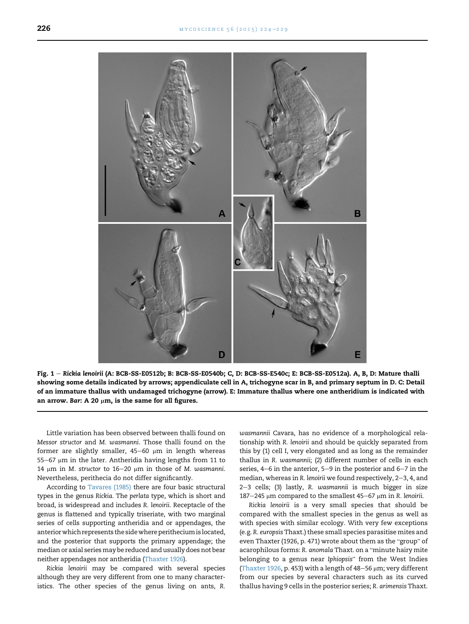<span id="page-2-0"></span>

Fig. 1 - Rickia lenoirii (A: BCB-SS-E0512b; B: BCB-SS-E0540b; C, D: BCB-SS-E540c; E: BCB-SS-E0512a). A, B, D: Mature thalli showing some details indicated by arrows; appendiculate cell in A, trichogyne scar in B, and primary septum in D. C: Detail of an immature thallus with undamaged trichogyne (arrow). E: Immature thallus where one antheridium is indicated with an arrow. Bar: A 20  $\mu$ m, is the same for all figures.

Little variation has been observed between thalli found on Messor structor and M. wasmanni. Those thalli found on the former are slightly smaller,  $45-60$  µm in length whereas  $55-67$  µm in the later. Antheridia having lengths from 11 to 14  $\mu$ m in M. structor to 16–20  $\mu$ m in those of M. wasmanni. Nevertheless, perithecia do not differ significantly.

According to [Tavares \(1985\)](#page-5-0) there are four basic structural types in the genus Rickia. The perlata type, which is short and broad, is widespread and includes R. lenoirii. Receptacle of the genus is flattened and typically triseriate, with two marginal series of cells supporting antheridia and or appendages, the anteriorwhich represents the sidewhere perithecium is located, and the posterior that supports the primary appendage; the median or axial series may be reduced and usually does not bear neither appendages nor antheridia ([Thaxter 1926\)](#page-5-0).

Rickia lenoirii may be compared with several species although they are very different from one to many characteristics. The other species of the genus living on ants, R. wasmannii Cavara, has no evidence of a morphological relationship with R. lenoirii and should be quickly separated from this by (1) cell I, very elongated and as long as the remainder thallus in R. wasmannii; (2) different number of cells in each series,  $4-6$  in the anterior,  $5-9$  in the posterior and  $6-7$  in the median, whereas in R. lenoirii we found respectively,  $2-3$ , 4, and 2-3 cells; (3) lastly, R. wasmannii is much bigger in size 187-245 µm compared to the smallest 45-67 µm in R. lenoirii.

Rickia lenoirii is a very small species that should be compared with the smallest species in the genus as well as with species with similar ecology. With very few exceptions (e.g. R. europsis Thaxt.) these small species parasitise mites and even Thaxter (1926, p. 471) wrote about them as the "group" of ven Thaxter (1926, p. 471) wrote about them as the "group" of<br>acarophilous forms: R. anomala Thaxt. on a "minute hairy mite acarophilous forms: R. anomala Thaxt. on a "minute hairy mite<br>belonging to a genus near Iphiopsis" from the West Indies ([Thaxter 1926,](#page-5-0) p. 453) with a length of 48-56  $\mu$ m; very different from our species by several characters such as its curved thallus having 9 cells in the posterior series; R. arimensis Thaxt.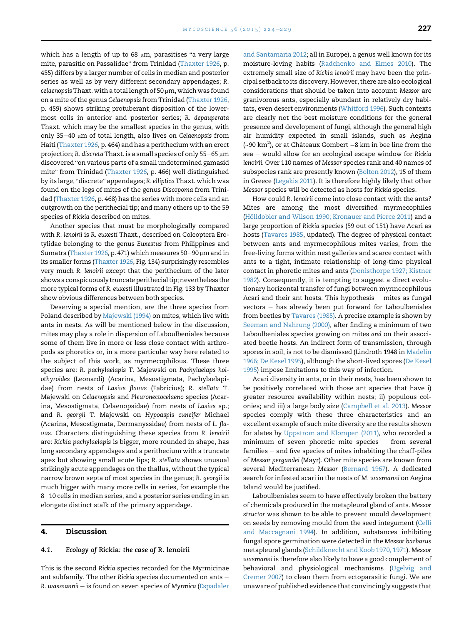$\blacksquare$ <br>which has a length of up to 68  $\mu$ m, parasitises "a very large which has a length of up to 68 µm, parasitises "a very large<br>mite, parasitic on Passalidae" from Trinidad ([Thaxter 1926](#page-5-0), p. 455) differs by a larger number of cells in median and posterior series as well as by very different secondary appendages; R.  $celaenopsis Thaxt. with a total length of 50  $\mu$ m, which was found$ on a mite of the genus Celaenopsis from Trinidad ([Thaxter 1926,](#page-5-0) p. 459) shows striking protuberant disposition of the lowermost cells in anterior and posterior series; R. depauperata Thaxt. which may be the smallest species in the genus, with only 35-40 µm of total length, also lives on Celaenopsis from Haiti ([Thaxter 1926](#page-5-0), p. 464) and has a perithecium with an erect projection; R. discreta Thaxt. is a small species of only 55-65  $\mu$ m projection; R. discreta Thaxt. is a small species of only 55–65 µm<br>discovered "on various parts of a small undetermined gamasid .<br>discovered "on various parts of a small undetermined gamasid<br>mite" from Trinidad ([Thaxter 1926,](#page-5-0) p. 466) well distinguished mite" from Trinidad (Thaxter 1926, p. 466) well distinguished<br>by its large, "discrete" appendages; R. elliptica Thaxt. which was found on the legs of mites of the genus Discopoma from Trinidad [\(Thaxter 1926](#page-5-0), p. 468) has the series with more cells and an outgrowth on the perithecial tip; and many others up to the 59 species of Rickia described on mites.

Another species that must be morphologically compared with R. lenoirii is R. euxesti Thaxt., described on Coleoptera Erotylidae belonging to the genus Euxestus from Philippines and Sumatra [\(Thaxter 1926](#page-5-0), p. 471) which measures 50-90  $\mu$ m and in its smaller forms [\(Thaxter 1926](#page-5-0), Fig. 134) surprisingly resembles very much R. lenoirii except that the perithecium of the later shows a conspicuously truncate perithecial tip; nevertheless the more typical forms of R. euxesti illustrated in Fig. 133 by Thaxter show obvious differences between both species.

Deserving a special mention, are the three species from Poland described by [Majewski \(1994\)](#page-5-0) on mites, which live with ants in nests. As will be mentioned below in the discussion, mites may play a role in dispersion of Laboulbeniales because some of them live in more or less close contact with arthropods as phoretics or, in a more particular way here related to the subject of this work, as myrmecophilous. These three species are: R. pachylaelapis T. Majewski on Pachylaelaps holothyroides (Leonardi) (Acarina, Mesostigmata, Pachylaelapidae) from nests of Lasius flavus (Fabricius); R. stellata T. Majewski on Celaenopsis and Pleuronectocelaeno species (Acarina, Mesostigmata, Celaenopsidae) from nests of Lasius sp.; and R. georgii T. Majewski on Hypoaspis cuneifer Michael (Acarina, Mesostigmata, Dermanyssidae) from nests of L. flavus. Characters distinguishing these species from R. lenoirii are: Rickia pachylaelapis is bigger, more rounded in shape, has long secondary appendages and a perithecium with a truncate apex but showing small acute lips; R. stellata shows unusual strikingly acute appendages on the thallus, without the typical narrow brown septa of most species in the genus; R. georgii is much bigger with many more cells in series, for example the 8-10 cells in median series, and a posterior series ending in an elongate distinct stalk of the primary appendage.

#### 4. Discussion

#### 4.1. Ecology of Rickia: the case of R. lenoirii

This is the second Rickia species recorded for the Myrmicinae ant subfamily. The other Rickia species documented on ants  $-$ R. wasmannii  $-$  is found on seven species of Myrmica [\(Espadaler](#page-5-0)

[and Santamaria 2012](#page-5-0); all in Europe), a genus well known for its moisture-loving habits [\(Radchenko and Elmes 2010\)](#page-5-0). The extremely small size of Rickia lenoirii may have been the principal setback to its discovery. However, there are also ecological considerations that should be taken into account: Messor are granivorous ants, especially abundant in relatively dry habitats, even desert environments ([Whitford 1996](#page-5-0)). Such contexts are clearly not the best moisture conditions for the general presence and development of fungi, although the general high air humidity expected in small islands, such as Aegina (~90 km<sup>2</sup>), or at Châteaux Gombert  $-8$  km in bee line from the  $sea -$  would allow for an ecological escape window for Rickia lenoirii. Over 110 names of Messor species rank and 40 names of subspecies rank are presently known [\(Bolton 2012](#page-5-0)), 15 of them in Greece ([Legakis 2011](#page-5-0)). It is therefore highly likely that other Messor species will be detected as hosts for Rickia species.

How could R. lenoirii come into close contact with the ants? Mites are among the most diversified myrmecophiles (Hölldobler and Wilson 1990; Kronauer and Pierce 2011) and a large proportion of Rickia species (59 out of 151) have Acari as hosts ([Tavares 1985](#page-5-0), updated). The degree of physical contact between ants and myrmecophilous mites varies, from the free-living forms within nest galleries and scarce contact with ants to a tight, intimate relationship of long-time physical contact in phoretic mites and ants [\(Donisthorpe 1927; Kistner](#page-5-0) [1982](#page-5-0)). Consequently, it is tempting to suggest a direct evolutionary horizontal transfer of fungi between myrmecophilous Acari and their ant hosts. This hypothesis  $-$  mites as fungal  $vectors - has already been put forward for Laboubeniales$ from beetles by [Tavares \(1985\)](#page-5-0). A precise example is shown by [Seeman and Nahrung \(2000\)](#page-5-0), after finding a minimum of two Laboulbeniales species growing on mites and on their associated beetle hosts. An indirect form of transmission, through spores in soil, is not to be dismissed (Lindroth 1948 in [Madelin](#page-5-0) [1966; De Kesel 1995\)](#page-5-0), although the short-lived spores ([De Kesel](#page-5-0) [1995](#page-5-0)) impose limitations to this way of infection.

Acari diversity in ants, or in their nests, has been shown to be positively correlated with those ant species that have i) greater resource availability within nests; ii) populous colonies; and iii) a large body size ([Campbell et al. 2013](#page-5-0)). Messor species comply with these three characteristics and an excellent example of such mite diversity are the results shown for alates by [Uppstrom and Klompen \(2011\)](#page-5-0), who recorded a minimum of seven phoretic mite species  $-$  from several  $families - and five species of mites inhabiting the chaff-piles$ of Messor pergandei (Mayr). Other mite species are known from several Mediterranean Messor [\(Bernard 1967\)](#page-4-0). A dedicated search for infested acari in the nests of M. wasmanni on Aegina Island would be justified.

Laboulbeniales seem to have effectively broken the battery of chemicals produced in the metapleural gland of ants. Messor structor was shown to be able to prevent mould development on seeds by removing mould from the seed integument ([Celli](#page-5-0) [and Maccagnani 1994](#page-5-0)). In addition, substances inhibiting fungal spore germination were detected in the Messor barbarus metapleural glands [\(Schildknecht and Koob 1970, 1971](#page-5-0)). Messor wasmanni is therefore also likely to have a good complement of behavioral and physiological mechanisms [\(Ugelvig and](#page-5-0) [Cremer 2007](#page-5-0)) to clean them from ectoparasitic fungi. We are unaware of published evidence that convincingly suggests that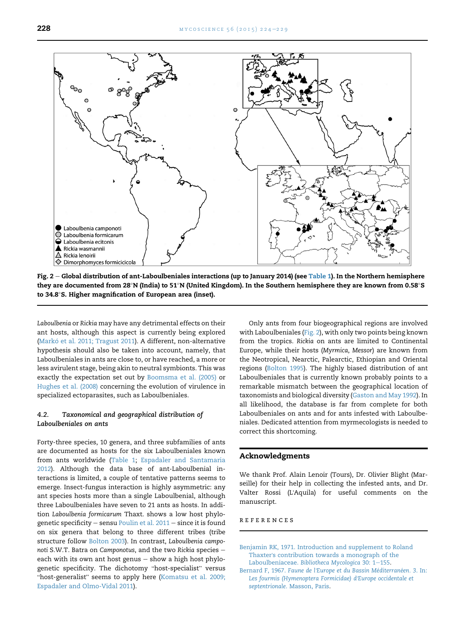<span id="page-4-0"></span>

Fig.  $2$  – Global distribution of ant-Laboulbeniales interactions (up to January 2014) (see [Table 1\)](#page-1-0). In the Northern hemisphere they are documented from 28°N (India) to 51°N (United Kingdom). In the Southern hemisphere they are known from 0.58°S to 34.8-S. Higher magnification of European area (inset).

Laboulbenia or Rickia may have any detrimental effects on their ant hosts, although this aspect is currently being explored (Markó et al. 2011; Tragust 2011). A different, non-alternative hypothesis should also be taken into account, namely, that Laboulbeniales in ants are close to, or have reached, a more or less avirulent stage, being akin to neutral symbionts. This was exactly the expectation set out by [Boomsma et al. \(2005\)](#page-5-0) or [Hughes et al. \(2008\)](#page-5-0) concerning the evolution of virulence in specialized ectoparasites, such as Laboulbeniales.

#### 4.2. Taxonomical and geographical distribution of Laboulbeniales on ants

Forty-three species, 10 genera, and three subfamilies of ants are documented as hosts for the six Laboulbeniales known from ants worldwide [\(Table 1](#page-1-0); [Espadaler and Santamaria](#page-5-0) [2012\)](#page-5-0). Although the data base of ant-Laboulbenial interactions is limited, a couple of tentative patterns seems to emerge. Insect-fungus interaction is highly asymmetric: any ant species hosts more than a single Laboulbenial, although three Laboulbeniales have seven to 21 ants as hosts. In addition Laboulbenia formicarum Thaxt. shows a low host phylogenetic specificity  $-$  sensu [Poulin et al. 2011](#page-5-0)  $-$  since it is found on six genera that belong to three different tribes (tribe structure follow [Bolton 2003\)](#page-5-0). In contrast, Laboulbenia camponoti S.W.T. Batra on Camponotus, and the two Rickia species  $$ each with its own ant host genus  $-$  show a high host phylo-each with its own ant host genus – show a high host phylogenetic specificity. The dichotomy "host-specialist" versus<br>"host-generalist" seems to apply here [\(Komatsu et al. 2009;](#page-5-0) [Espadaler and Olmo-Vidal 2011](#page-5-0)).

Only ants from four biogeographical regions are involved with Laboulbeniales (Fig. 2), with only two points being known from the tropics. Rickia on ants are limited to Continental Europe, while their hosts (Myrmica, Messor) are known from the Neotropical, Nearctic, Palearctic, Ethiopian and Oriental regions [\(Bolton 1995\)](#page-5-0). The highly biased distribution of ant Laboulbeniales that is currently known probably points to a remarkable mismatch between the geographical location of taxonomists and biological diversity ([Gaston and May 1992](#page-5-0)). In all likelihood, the database is far from complete for both Laboulbeniales on ants and for ants infested with Laboulbeniales. Dedicated attention from myrmecologists is needed to correct this shortcoming.

#### Acknowledgments

We thank Prof. Alain Lenoir (Tours), Dr. Olivier Blight (Marseille) for their help in collecting the infested ants, and Dr. Valter Rossi (L'Aquila) for useful comments on the manuscript.

#### references

[Benjamin RK, 1971. Introduction and supplement to Roland](http://refhub.elsevier.com/S1340-3540(14)00060-6/sref1) Thaxter'[s contribution towards a monograph of the](http://refhub.elsevier.com/S1340-3540(14)00060-6/sref1) Laboulbeniaceae. [Bibliotheca Mycologica](http://refhub.elsevier.com/S1340-3540(14)00060-6/sref1) 30: 1-[155](http://refhub.elsevier.com/S1340-3540(14)00060-6/sref1).

Bernard F, 1967. Faune de l'[Europe et du Bassin M](http://refhub.elsevier.com/S1340-3540(14)00060-6/sref2)é[diterran](http://refhub.elsevier.com/S1340-3540(14)00060-6/sref2)éen. 3. In: [Les fourmis \(Hymenoptera Formicidae\) d](http://refhub.elsevier.com/S1340-3540(14)00060-6/sref2)'Europe occidentale et septentrionale[. Masson, Paris](http://refhub.elsevier.com/S1340-3540(14)00060-6/sref2).